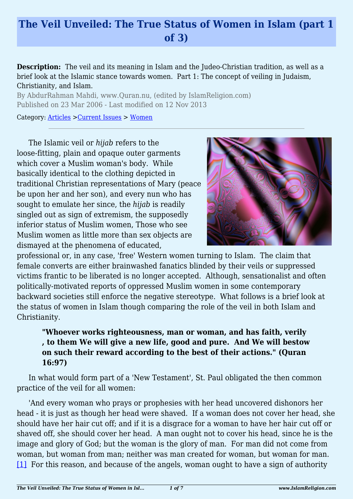# **The Veil Unveiled: The True Status of Women in Islam (part 1 of 3)**

**Description:** The veil and its meaning in Islam and the Judeo-Christian tradition, as well as a brief look at the Islamic stance towards women. Part 1: The concept of veiling in Judaism, Christianity, and Islam.

By AbdurRahman Mahdi, www.Quran.nu, (edited by IslamReligion.com) Published on 23 Mar 2006 - Last modified on 12 Nov 2013

Category: [Articles](http://www.islamreligion.com/articles/) >[Current Issues](http://www.islamreligion.com/category/83/) > [Women](http://www.islamreligion.com/category/101/)

The Islamic veil or *hijab* refers to the loose-fitting, plain and opaque outer garments which cover a Muslim woman's body. While basically identical to the clothing depicted in traditional Christian representations of Mary (peace be upon her and her son), and every nun who has sought to emulate her since, the *hijab* is readily singled out as sign of extremism, the supposedly inferior status of Muslim women, Those who see Muslim women as little more than sex objects are dismayed at the phenomena of educated,



professional or, in any case, 'free' Western women turning to Islam. The claim that female converts are either brainwashed fanatics blinded by their veils or suppressed victims frantic to be liberated is no longer accepted. Although, sensationalist and often politically-motivated reports of oppressed Muslim women in some contemporary backward societies still enforce the negative stereotype. What follows is a brief look at the status of women in Islam though comparing the role of the veil in both Islam and Christianity.

## **"Whoever works righteousness, man or woman, and has faith, verily , to them We will give a new life, good and pure. And We will bestow on such their reward according to the best of their actions." (Quran 16:97)**

In what would form part of a 'New Testament', St. Paul obligated the then common practice of the veil for all women:

<span id="page-0-0"></span>'And every woman who prays or prophesies with her head uncovered dishonors her head - it is just as though her head were shaved. If a woman does not cover her head, she should have her hair cut off; and if it is a disgrace for a woman to have her hair cut off or shaved off, she should cover her head. A man ought not to cover his head, since he is the image and glory of God; but the woman is the glory of man. For man did not come from woman, but woman from man; neither was man created for woman, but woman for man. [\[1\]](#page-2-0) For this reason, and because of the angels, woman ought to have a sign of authority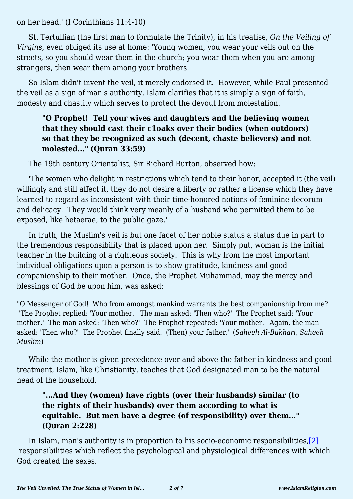on her head.' (I Corinthians 11:4-10)

St. Tertullian (the first man to formulate the Trinity), in his treatise, *On the Veiling of Virgins*, even obliged its use at home: 'Young women, you wear your veils out on the streets, so you should wear them in the church; you wear them when you are among strangers, then wear them among your brothers.'

So Islam didn't invent the veil, it merely endorsed it. However, while Paul presented the veil as a sign of man's authority, Islam clarifies that it is simply a sign of faith, modesty and chastity which serves to protect the devout from molestation.

### **"O Prophet! Tell your wives and daughters and the believing women that they should cast their c1oaks over their bodies (when outdoors) so that they be recognized as such (decent, chaste believers) and not molested..." (Quran 33:59)**

The 19th century Orientalist, Sir Richard Burton, observed how:

'The women who delight in restrictions which tend to their honor, accepted it (the veil) willingly and still affect it, they do not desire a liberty or rather a license which they have learned to regard as inconsistent with their time-honored notions of feminine decorum and delicacy. They would think very meanly of a husband who permitted them to be exposed, like hetaerae, to the public gaze.'

In truth, the Muslim's veil is but one facet of her noble status a status due in part to the tremendous responsibility that is placed upon her. Simply put, woman is the initial teacher in the building of a righteous society. This is why from the most important individual obligations upon a person is to show gratitude, kindness and good companionship to their mother. Once, the Prophet Muhammad, may the mercy and blessings of God be upon him, was asked:

"O Messenger of God! Who from amongst mankind warrants the best companionship from me? 'The Prophet replied: 'Your mother.' The man asked: 'Then who?' The Prophet said: 'Your mother.' The man asked: 'Then who?' The Prophet repeated: 'Your mother.' Again, the man asked: 'Then who?' The Prophet finally said: '(Then) your father." (*Saheeh Al-Bukhari, Saheeh Muslim*)

While the mother is given precedence over and above the father in kindness and good treatment, Islam, like Christianity, teaches that God designated man to be the natural head of the household.

# **"...And they (women) have rights (over their husbands) similar (to the rights of their husbands) over them according to what is equitable. But men have a degree (of responsibility) over them..." (Quran 2:228)**

<span id="page-1-1"></span><span id="page-1-0"></span>In Islam, man's authority is in proportion to his socio-economic responsibilities, [2] responsibilities which reflect the psychological and physiological differences with which God created the sexes.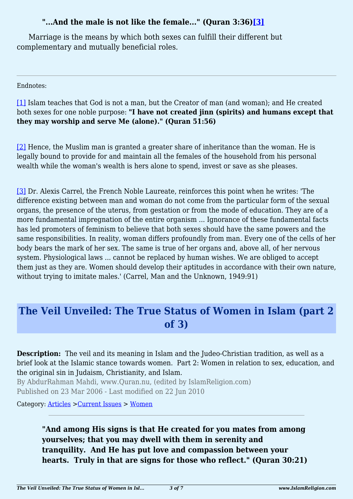# **"...And the male is not like the female..." (Quran 3:36)[\[3\]](#page-2-2)**

Marriage is the means by which both sexes can fulfill their different but complementary and mutually beneficial roles.

Endnotes:

<span id="page-2-0"></span>[\[1\]](#page-0-0) Islam teaches that God is not a man, but the Creator of man (and woman); and He created both sexes for one noble purpose: **"I have not created jinn (spirits) and humans except that they may worship and serve Me (alone)." (Quran 51:56)**

<span id="page-2-1"></span>[\[2\]](#page-1-0) Hence, the Muslim man is granted a greater share of inheritance than the woman. He is legally bound to provide for and maintain all the females of the household from his personal wealth while the woman's wealth is hers alone to spend, invest or save as she pleases.

<span id="page-2-2"></span>[\[3\]](#page-1-1) Dr. Alexis Carrel, the French Noble Laureate, reinforces this point when he writes: 'The difference existing between man and woman do not come from the particular form of the sexual organs, the presence of the uterus, from gestation or from the mode of education. They are of a more fundamental impregnation of the entire organism ... Ignorance of these fundamental facts has led promoters of feminism to believe that both sexes should have the same powers and the same responsibilities. In reality, woman differs profoundly from man. Every one of the cells of her body bears the mark of her sex. The same is true of her organs and, above all, of her nervous system. Physiological laws ... cannot be replaced by human wishes. We are obliged to accept them just as they are. Women should develop their aptitudes in accordance with their own nature, without trying to imitate males.' (Carrel, Man and the Unknown, 1949:91)

# **The Veil Unveiled: The True Status of Women in Islam (part 2 of 3)**

**Description:** The veil and its meaning in Islam and the Judeo-Christian tradition, as well as a brief look at the Islamic stance towards women. Part 2: Women in relation to sex, education, and the original sin in Judaism, Christianity, and Islam.

By AbdurRahman Mahdi, www.Quran.nu, (edited by IslamReligion.com) Published on 23 Mar 2006 - Last modified on 22 Jun 2010

Category: [Articles](http://www.islamreligion.com/articles/) >[Current Issues](http://www.islamreligion.com/category/83/) > [Women](http://www.islamreligion.com/category/101/)

**"And among His signs is that He created for you mates from among yourselves; that you may dwell with them in serenity and tranquility. And He has put love and compassion between your hearts. Truly in that are signs for those who reflect." (Quran 30:21)**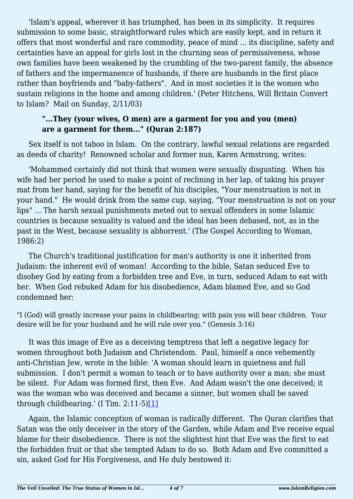'Islam's appeal, wherever it has triumphed, has been in its simplicity. It requires submission to some basic, straightforward rules which are easily kept, and in return it offers that most wonderful and rare commodity, peace of mind ... its discipline, safety and certainties have an appeal for girls lost in the churning seas of permissiveness, whose own families have been weakened by the crumbling of the two-parent family, the absence of fathers and the impermanence of husbands, if there are husbands in the first place rather than boyfriends and "baby-fathers". And in most societies it is the women who sustain religions in the home and among children.' (Peter Hitchens, Will Britain Convert to Islam? Mail on Sunday, 2/11/03)

#### **"...They (your wives, O men) are a garment for you and you (men) are a garment for them..." (Quran 2:187)**

Sex itself is not taboo in Islam. On the contrary, lawful sexual relations are regarded as deeds of charity! Renowned scholar and former nun, Karen Armstrong, writes:

'Mohammed certainly did not think that women were sexually disgusting. When his wife had her period he used to make a point of reclining in her lap, of taking his prayer mat from her hand, saying for the benefit of his disciples, "Your menstruation is not in your hand." He would drink from the same cup, saying, "Your menstruation is not on your lips" ... The harsh sexual punishments meted out to sexual offenders in some Islamic countries is because sexuality is valued and the ideal has been debased, not, as in the past in the West, because sexuality is abhorrent.' (The Gospel According to Woman, 1986:2)

The Church's traditional justification for man's authority is one it inherited from Judaism: the inherent evil of woman! According to the bible, Satan seduced Eve to disobey God by eating from a forbidden tree and Eve, in turn, seduced Adam to eat with her. When God rebuked Adam for his disobedience, Adam blamed Eve, and so God condemned her:

"I (God) will greatly increase your pains in childbearing; with pain you will bear children. Your desire will be for your husband and he will rule over you." (Genesis 3:16)

It was this image of Eve as a deceiving temptress that left a negative legacy for women throughout both Judaism and Christendom. Paul, himself a once vehemently anti-Christian Jew, wrote in the bible: 'A woman should learn in quietness and full submission. I don't permit a woman to teach or to have authority over a man; she must be silent. For Adam was formed first, then Eve. And Adam wasn't the one deceived; it was the woman who was deceived and became a sinner, but women shall be saved through childbearing.' (I Tim.  $2:11-5)[1]$  $2:11-5)[1]$ 

<span id="page-3-0"></span>Again, the Islamic conception of woman is radically different. The Quran clarifies that Satan was the only deceiver in the story of the Garden, while Adam and Eve receive equal blame for their disobedience. There is not the slightest hint that Eve was the first to eat the forbidden fruit or that she tempted Adam to do so. Both Adam and Eve committed a sin, asked God for His Forgiveness, and He duly bestowed it: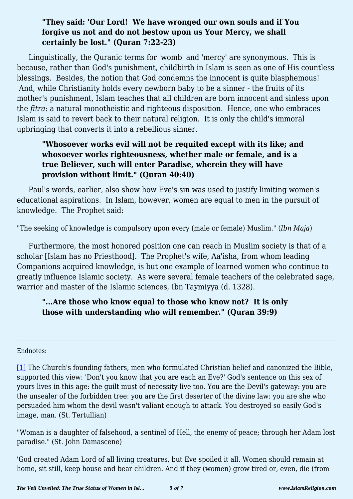### **"They said: 'Our Lord! We have wronged our own souls and if You forgive us not and do not bestow upon us Your Mercy, we shall certainly be lost." (Quran 7:22-23)**

Linguistically, the Quranic terms for 'womb' and 'mercy' are synonymous. This is because, rather than God's punishment, childbirth in Islam is seen as one of His countless blessings. Besides, the notion that God condemns the innocent is quite blasphemous! And, while Christianity holds every newborn baby to be a sinner - the fruits of its mother's punishment, Islam teaches that all children are born innocent and sinless upon the *fitra*: a natural monotheistic and righteous disposition. Hence, one who embraces Islam is said to revert back to their natural religion. It is only the child's immoral upbringing that converts it into a rebellious sinner.

# **"Whosoever works evil will not be requited except with its like; and whosoever works righteousness, whether male or female, and is a true Believer, such will enter Paradise, wherein they will have provision without limit." (Quran 40:40)**

Paul's words, earlier, also show how Eve's sin was used to justify limiting women's educational aspirations. In Islam, however, women are equal to men in the pursuit of knowledge. The Prophet said:

"The seeking of knowledge is compulsory upon every (male or female) Muslim." (*Ibn Maja*)

Furthermore, the most honored position one can reach in Muslim society is that of a scholar [Islam has no Priesthood]. The Prophet's wife, Aa'isha, from whom leading Companions acquired knowledge, is but one example of learned women who continue to greatly influence Islamic society. As were several female teachers of the celebrated sage, warrior and master of the Islamic sciences, Ibn Taymiyya (d. 1328).

# **"...Are those who know equal to those who know not? It is only those with understanding who will remember." (Quran 39:9)**

#### <span id="page-4-0"></span>Endnotes:

[\[1\]](#page-3-0) The Church's founding fathers, men who formulated Christian belief and canonized the Bible, supported this view: 'Don't you know that you are each an Eve?' God's sentence on this sex of yours lives in this age: the guilt must of necessity live too. You are the Devil's gateway: you are the unsealer of the forbidden tree: you are the first deserter of the divine law: you are she who persuaded him whom the devil wasn't valiant enough to attack. You destroyed so easily God's image, man. (St. Tertullian)

"Woman is a daughter of falsehood, a sentinel of Hell, the enemy of peace; through her Adam lost paradise." (St. John Damascene)

'God created Adam Lord of all living creatures, but Eve spoiled it all. Women should remain at home, sit still, keep house and bear children. And if they (women) grow tired or, even, die (from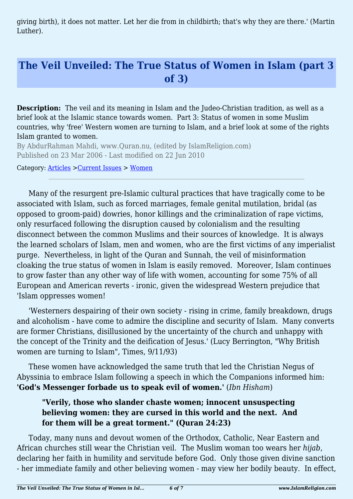giving birth), it does not matter. Let her die from in childbirth; that's why they are there.' (Martin Luther).

# **The Veil Unveiled: The True Status of Women in Islam (part 3 of 3)**

**Description:** The veil and its meaning in Islam and the Judeo-Christian tradition, as well as a brief look at the Islamic stance towards women. Part 3: Status of women in some Muslim countries, why 'free' Western women are turning to Islam, and a brief look at some of the rights Islam granted to women.

By AbdurRahman Mahdi, www.Quran.nu, (edited by IslamReligion.com) Published on 23 Mar 2006 - Last modified on 22 Jun 2010

Category: [Articles](http://www.islamreligion.com/articles/) >[Current Issues](http://www.islamreligion.com/category/83/) > [Women](http://www.islamreligion.com/category/101/)

Many of the resurgent pre-Islamic cultural practices that have tragically come to be associated with Islam, such as forced marriages, female genital mutilation, bridal (as opposed to groom-paid) dowries, honor killings and the criminalization of rape victims, only resurfaced following the disruption caused by colonialism and the resulting disconnect between the common Muslims and their sources of knowledge. It is always the learned scholars of Islam, men and women, who are the first victims of any imperialist purge. Nevertheless, in light of the Quran and Sunnah, the veil of misinformation cloaking the true status of women in Islam is easily removed. Moreover, Islam continues to grow faster than any other way of life with women, accounting for some 75% of all European and American reverts - ironic, given the widespread Western prejudice that 'Islam oppresses women!

'Westerners despairing of their own society - rising in crime, family breakdown, drugs and alcoholism - have come to admire the discipline and security of Islam. Many converts are former Christians, disillusioned by the uncertainty of the church and unhappy with the concept of the Trinity and the deification of Jesus.' (Lucy Berrington, "Why British women are turning to Islam", Times, 9/11/93)

These women have acknowledged the same truth that led the Christian Negus of Abyssinia to embrace Islam following a speech in which the Companions informed him: **'God's Messenger forbade us to speak evil of women.'** (*Ibn Hisham*)

## **"Verily, those who slander chaste women; innocent unsuspecting believing women: they are cursed in this world and the next. And for them will be a great torment." (Quran 24:23)**

Today, many nuns and devout women of the Orthodox, Catholic, Near Eastern and African churches still wear the Christian veil. The Muslim woman too wears her *hijab*, declaring her faith in humility and servitude before God. Only those given divine sanction - her immediate family and other believing women - may view her bodily beauty. In effect,